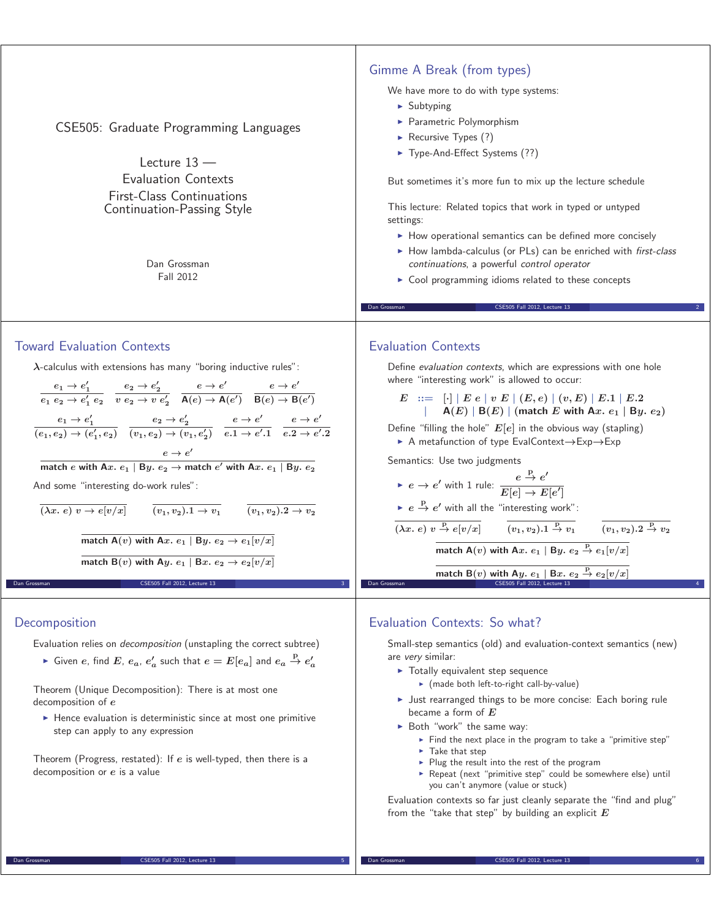| CSE505: Graduate Programming Languages<br>Lecture $13 -$<br><b>Evaluation Contexts</b><br><b>First-Class Continuations</b><br>Continuation-Passing Style<br>Dan Grossman<br>Fall 2012                                                                                                                                                                                                                                                                                                                                                                                                                                                                                                                                                                                                                                                                                                                                                                                                                                          | Gimme A Break (from types)<br>We have more to do with type systems:<br>$\blacktriangleright$ Subtyping<br>Parametric Polymorphism<br>Recursive Types $(?)$<br>Type-And-Effect Systems (??)<br>But sometimes it's more fun to mix up the lecture schedule<br>This lecture: Related topics that work in typed or untyped<br>settings:<br>• How operational semantics can be defined more concisely<br>How lambda-calculus (or PLs) can be enriched with first-class<br>continuations, a powerful control operator<br>Cool programming idioms related to these concepts                                                                                                                                                                                                                                                                                                                                                                                                                                                                                     |
|--------------------------------------------------------------------------------------------------------------------------------------------------------------------------------------------------------------------------------------------------------------------------------------------------------------------------------------------------------------------------------------------------------------------------------------------------------------------------------------------------------------------------------------------------------------------------------------------------------------------------------------------------------------------------------------------------------------------------------------------------------------------------------------------------------------------------------------------------------------------------------------------------------------------------------------------------------------------------------------------------------------------------------|----------------------------------------------------------------------------------------------------------------------------------------------------------------------------------------------------------------------------------------------------------------------------------------------------------------------------------------------------------------------------------------------------------------------------------------------------------------------------------------------------------------------------------------------------------------------------------------------------------------------------------------------------------------------------------------------------------------------------------------------------------------------------------------------------------------------------------------------------------------------------------------------------------------------------------------------------------------------------------------------------------------------------------------------------------|
|                                                                                                                                                                                                                                                                                                                                                                                                                                                                                                                                                                                                                                                                                                                                                                                                                                                                                                                                                                                                                                | Dan Grossman<br>CSE505 Fall 2012, Lecture 13                                                                                                                                                                                                                                                                                                                                                                                                                                                                                                                                                                                                                                                                                                                                                                                                                                                                                                                                                                                                             |
| <b>Toward Evaluation Contexts</b><br>$\lambda$ -calculus with extensions has many "boring inductive rules":<br>$\frac{e_1\rightarrow e'_1}{e_1\ e_2\rightarrow e'_1\ e_2} \quad \frac{e_2\rightarrow e'_2}{v\ e_2\rightarrow v\ e'_2} \quad \frac{e\rightarrow e'}{\mathsf{A}(e)\rightarrow \mathsf{A}(e')} \quad \frac{e\rightarrow e'}{\mathsf{B}(e)\rightarrow \mathsf{B}(e')}$<br>$\frac{e_1 \to e'_1}{(e_1, e_2) \to (e'_1, e_2)} \frac{e_2 \to e'_2}{(v_1, e_2) \to (v_1, e'_2)} \frac{e \to e'}{e.1 \to e'.1} \frac{e \to e'}{e.2 \to e'.2}$<br>$e \rightarrow e'$<br>match e with Ax. $e_1$   By. $e_2$ $\rightarrow$ match e' with Ax. $e_1$   By. $e_2$<br>And some "interesting do-work rules":<br>$\overline{(\lambda x.\ e)\ v \rightarrow e[v/x]}$ $\overline{(v_1,v_2).1 \rightarrow v_1}$ $\overline{(v_1,v_2).2 \rightarrow v_2}$<br>match A(v) with Ax. $e_1$   By. $e_2 \rightarrow e_1[v/x]$<br>match B(v) with Ay. $e_1$   Bx. $e_2 \rightarrow e_2[v/x]$<br>Dan Grossman<br>CSE505 Fall 2012, Lecture 13 | <b>Evaluation Contexts</b><br>Define evaluation contexts, which are expressions with one hole<br>where "interesting work" is allowed to occur:<br>$E := [\cdot]   E e   v E   (E, e)   (v, E)   E.1   E.2$<br>$A(E)   B(E)  $ (match E with Ax. $e_1   By. e_2$ )<br>Define "filling the hole" $E[e]$ in the obvious way (stapling)<br>A metafunction of type EvalContext $\rightarrow$ Exp $\rightarrow$ Exp<br>Semantics: Use two judgments<br>► $e \rightarrow e'$ with 1 rule: $\frac{e \stackrel{\mu}{\rightarrow} e'}{E[e] \rightarrow E[e']}$<br>$\triangleright$ $e \stackrel{\text{p}}{\rightarrow} e'$ with all the "interesting work":<br>$\overline{( \lambda x.\ e)\ v \stackrel{p}{\rightarrow} e[v/x]}$ $\overline{(v_1, v_2).1 \stackrel{p}{\rightarrow} v_1}$ $\overline{(v_1, v_2).2 \stackrel{p}{\rightarrow} v_2}$<br>match A(v) with Ax. $e_1$   By. $e_2 \stackrel{P}{\rightarrow} e_1[v/x]$<br>match B(v) with Ay. $e_1 \rvert$ Bx. $e_2 \rightharpoonup e_2 \lbrack v/x \rbrack$<br>CSE505 Fall 2012, Lecture 13<br>Dan Grossman |
| Decomposition<br>Evaluation relies on <i>decomposition</i> (unstapling the correct subtree)<br>Given e, find E, $e_a$ , $e'_a$ such that $e = E[e_a]$ and $e_a \stackrel{P}{\rightarrow} e'_a$<br>Theorem (Unique Decomposition): There is at most one<br>decomposition of e<br>• Hence evaluation is deterministic since at most one primitive<br>step can apply to any expression                                                                                                                                                                                                                                                                                                                                                                                                                                                                                                                                                                                                                                            | Evaluation Contexts: So what?<br>Small-step semantics (old) and evaluation-context semantics (new)<br>are very similar:<br>Totally equivalent step sequence<br>► (made both left-to-right call-by-value)<br>I Just rearranged things to be more concise: Each boring rule<br>became a form of $E$<br>▶ Both "work" the same way:                                                                                                                                                                                                                                                                                                                                                                                                                                                                                                                                                                                                                                                                                                                         |

Theorem (Progress, restated): If *e* is well-typed, then there is a decomposition or *e* is a value

**Dan Grossman** CSE505 Fall 2012, Lecture 13

**Fake that step** 

Evaluation contexts so far just cleanly separate the "find and plug"

- Plug the result into the rest of the program

you can't anymore (value or stuck)

from the "take that step" by building an explicit *E*

- Find the next place in the program to take a "primitive step"

- Repeat (next "primitive step" could be somewhere else) until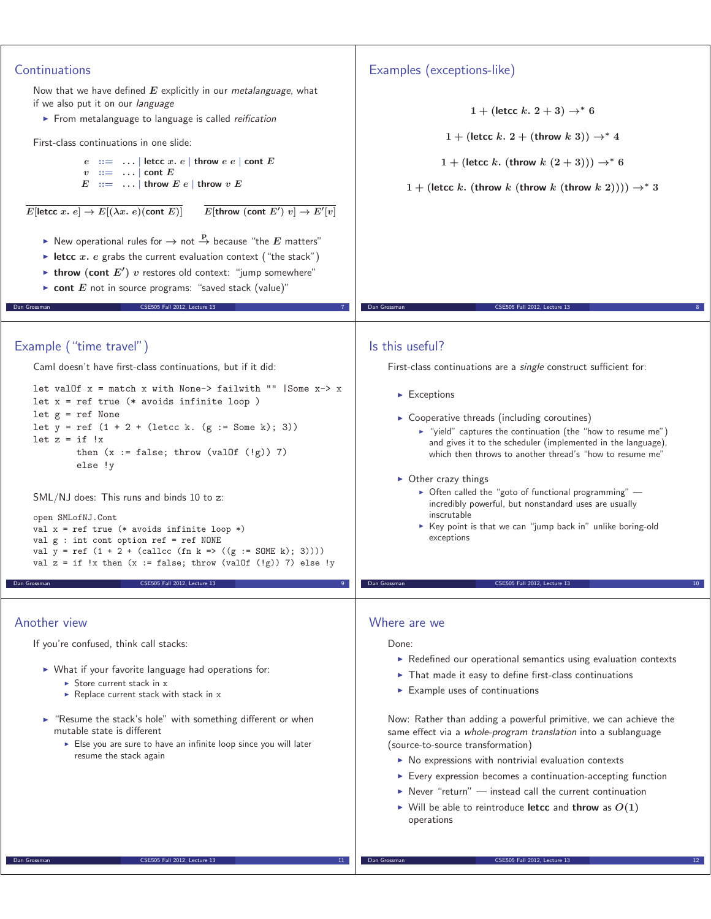